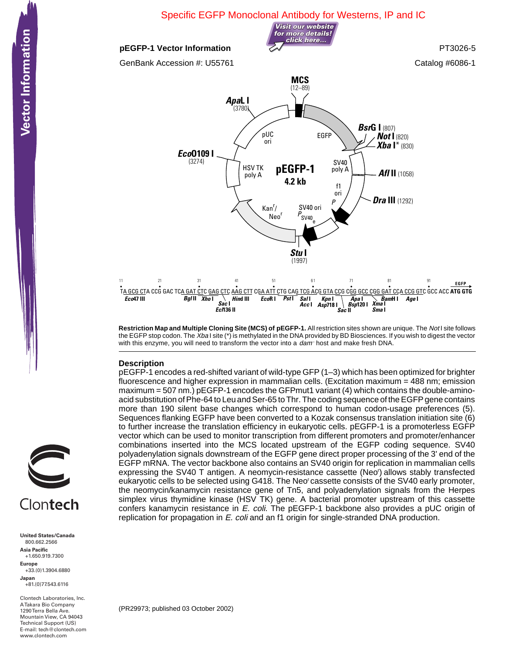

**Restriction Map and Multiple Cloning Site (MCS) of pEGFP-1.** All restriction sites shown are unique. The Not I site follows the EGFP stop codon. The Xba I site (\*) is methylated in the DNA provided by BD Biosciences. If you wish to digest the vector with this enzyme, you will need to transform the vector into a dam- host and make fresh DNA.

## **Description**

pEGFP-1 encodes a red-shifted variant of wild-type GFP (1–3) which has been optimized for brighter fluorescence and higher expression in mammalian cells. (Excitation maximum = 488 nm; emission maximum = 507 nm.) pEGFP-1 encodes the GFPmut1 variant (4) which contains the double-aminoacid substitution of Phe-64 to Leu and Ser-65 to Thr. The coding sequence of the EGFP gene contains more than 190 silent base changes which correspond to human codon-usage preferences (5). Sequences flanking EGFP have been converted to a Kozak consensus translation initiation site (6) to further increase the translation efficiency in eukaryotic cells. pEGFP-1 is a promoterless EGFP vector which can be used to monitor transcription from different promoters and promoter/enhancer combinations inserted into the MCS located upstream of the EGFP coding sequence. SV40 polyadenylation signals downstream of the EGFP gene direct proper processing of the 3' end of the EGFP mRNA. The vector backbone also contains an SV40 origin for replication in mammalian cells expressing the SV40 T antigen. A neomycin-resistance cassette (Neo') allows stably transfected eukaryotic cells to be selected using G418. The Neo<sup>r</sup> cassette consists of the SV40 early promoter, the neomycin/kanamycin resistance gene of Tn5, and polyadenylation signals from the Herpes simplex virus thymidine kinase (HSV TK) gene. A bacterial promoter upstream of this cassette confers kanamycin resistance in E. coli. The pEGFP-1 backbone also provides a pUC origin of replication for propagation in E. coli and an f1 origin for single-stranded DNA production.



**United States/Canada** 800.662.2566 **Asia Pacific** +1.650.919.7300 **Europe** +33.(0)1.3904.6880 **Japan** +81.(0)77.543.6116

Clontech Laboratories, Inc. A Takara Bio Company 1290 Terra Bella Ave. Mountain View, CA 94043 Technical Support (US) E-mail: tech@clontech.com<br>www.clontech.com

(PR29973; published 03 October 2002)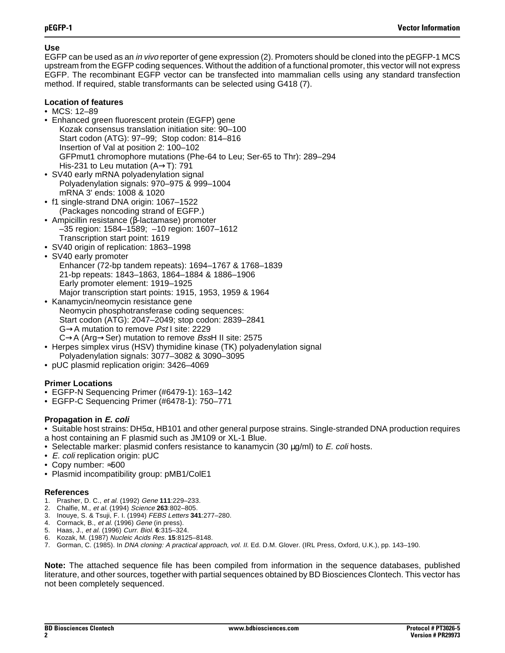## **Use**

EGFP can be used as an in vivo reporter of gene expression (2). Promoters should be cloned into the pEGFP-1 MCS upstream from the EGFP coding sequences. Without the addition of a functional promoter, this vector will not express EGFP. The recombinant EGFP vector can be transfected into mammalian cells using any standard transfection method. If required, stable transformants can be selected using G418 (7).

## **Location of features**

- MCS: 12–89
- Enhanced green fluorescent protein (EGFP) gene Kozak consensus translation initiation site: 90–100 Start codon (ATG): 97–99; Stop codon: 814–816 Insertion of Val at position 2: 100–102 GFPmut1 chromophore mutations (Phe-64 to Leu; Ser-65 to Thr): 289–294 His-231 to Leu mutation (A→T): 791
- SV40 early mRNA polyadenylation signal Polyadenylation signals: 970–975 & 999–1004 mRNA 3' ends: 1008 & 1020
- f1 single-strand DNA origin: 1067–1522 (Packages noncoding strand of EGFP.)
- Ampicillin resistance (β-lactamase) promoter –35 region: 1584–1589; –10 region: 1607–1612 Transcription start point: 1619
- SV40 origin of replication: 1863–1998
- SV40 early promoter Enhancer (72-bp tandem repeats): 1694–1767 & 1768–1839 21-bp repeats: 1843–1863, 1864–1884 & 1886–1906 Early promoter element: 1919–1925 Major transcription start points: 1915, 1953, 1959 & 1964
- Kanamycin/neomycin resistance gene Neomycin phosphotransferase coding sequences: Start codon (ATG): 2047–2049; stop codon: 2839–2841 G→A mutation to remove Pst I site: 2229 C→A (Arg→Ser) mutation to remove BssH II site: 2575
- Herpes simplex virus (HSV) thymidine kinase (TK) polyadenylation signal Polyadenylation signals: 3077–3082 & 3090–3095
- pUC plasmid replication origin: 3426–4069

# **Primer Locations**

- EGFP-N Sequencing Primer (#6479-1): 163–142
- EGFP-C Sequencing Primer (#6478-1): 750–771

## **Propagation in E. coli**

• Suitable host strains:  $DH5\alpha$ , HB101 and other general purpose strains. Single-stranded DNA production requires a host containing an F plasmid such as JM109 or XL-1 Blue.

- Selectable marker: plasmid confers resistance to kanamycin (30  $\mu$ g/ml) to *E. coli* hosts.
- E. coli replication origin: pUC
- Copy number: ≈500
- Plasmid incompatibility group: pMB1/ColE1

## **References**

- 1. Prasher, D. C., et al. (1992) Gene **111**:229–233.
- 2. Chalfie, M., et al. (1994) Science **263**:802–805.
- 3. Inouye, S. & Tsuji, F. I. (1994) FEBS Letters **341**:277–280.
- 4. Cormack, B., et al. (1996) Gene (in press).
- 5. Haas, J., et al. (1996) Curr. Biol. **6**:315–324.
- 6. Kozak, M. (1987) Nucleic Acids Res. **15**:8125–8148.
- 7. Gorman, C. (1985). In DNA cloning: A practical approach, vol. II. Ed. D.M. Glover. (IRL Press, Oxford, U.K.), pp. 143–190.

**Note:** The attached sequence file has been compiled from information in the sequence databases, published literature, and other sources, together with partial sequences obtained by BD Biosciences Clontech. This vector has not been completely sequenced.